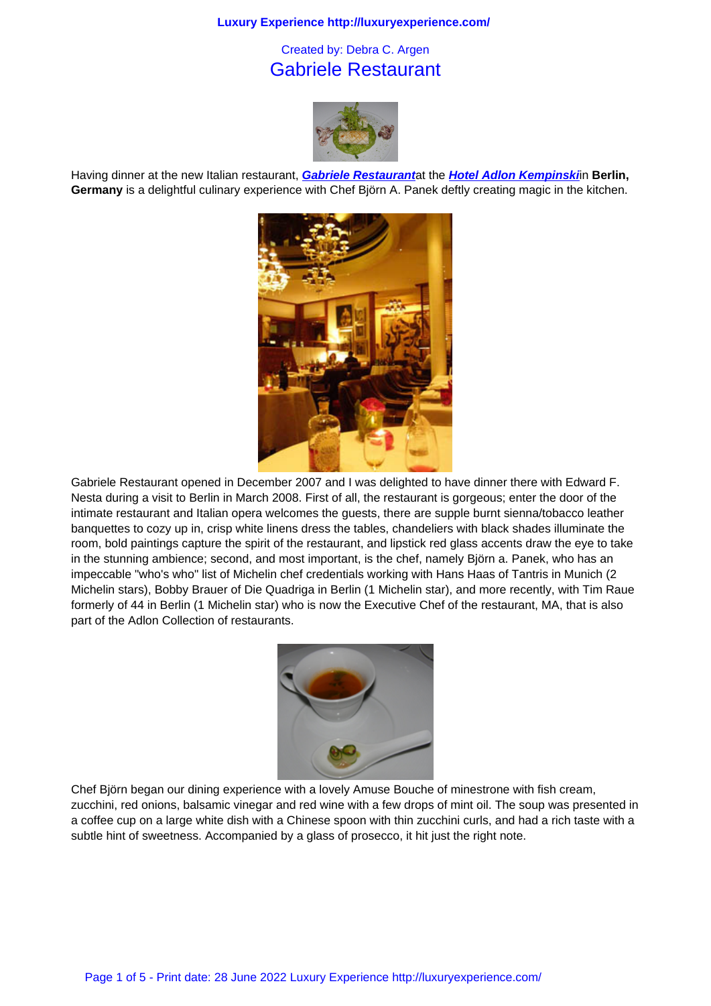## Gabriele Restaurant



Having dinner at the new Italian restaurant, **Gabriele Restaurant**at the **Hotel Adlon Kempinski**in **Berlin, Germany** is a delightful culinary experience with Chef Björn A. Panek deftly creating magic in the kitchen.



Gabriele Restaurant opened in December 2007 and I was delighted to have dinner there with Edward F. Nesta during a visit to Berlin in March 2008. First of all, the restaurant is gorgeous; enter the door of the intimate restaurant and Italian opera welcomes the guests, there are supple burnt sienna/tobacco leather banquettes to cozy up in, crisp white linens dress the tables, chandeliers with black shades illuminate the room, bold paintings capture the spirit of the restaurant, and lipstick red glass accents draw the eye to take in the stunning ambience; second, and most important, is the chef, namely Björn a. Panek, who has an impeccable "who's who" list of Michelin chef credentials working with Hans Haas of Tantris in Munich (2 Michelin stars), Bobby Brauer of Die Quadriga in Berlin (1 Michelin star), and more recently, with Tim Raue formerly of 44 in Berlin (1 Michelin star) who is now the Executive Chef of the restaurant, MA, that is also part of the Adlon Collection of restaurants.



Chef Björn began our dining experience with a lovely Amuse Bouche of minestrone with fish cream, zucchini, red onions, balsamic vinegar and red wine with a few drops of mint oil. The soup was presented in a coffee cup on a large white dish with a Chinese spoon with thin zucchini curls, and had a rich taste with a subtle hint of sweetness. Accompanied by a glass of prosecco, it hit just the right note.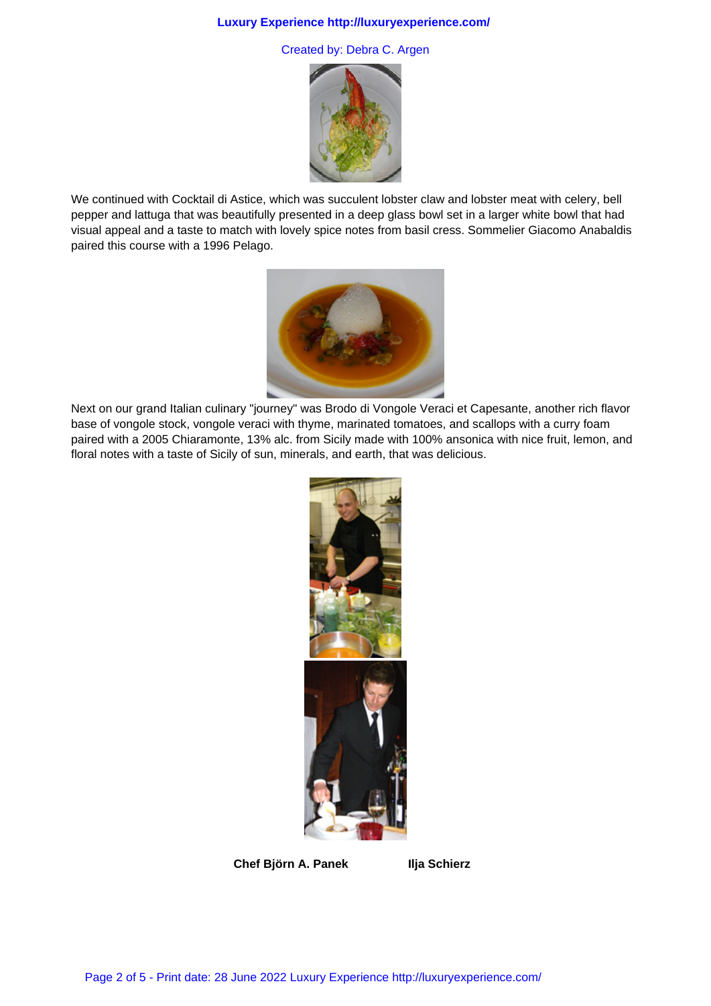## **Luxury Experience http://luxuryexperience.com/**

Created by: Debra C. Argen



We continued with Cocktail di Astice, which was succulent lobster claw and lobster meat with celery, bell pepper and lattuga that was beautifully presented in a deep glass bowl set in a larger white bowl that had visual appeal and a taste to match with lovely spice notes from basil cress. Sommelier Giacomo Anabaldis paired this course with a 1996 Pelago.



Next on our grand Italian culinary "journey" was Brodo di Vongole Veraci et Capesante, another rich flavor base of vongole stock, vongole veraci with thyme, marinated tomatoes, and scallops with a curry foam paired with a 2005 Chiaramonte, 13% alc. from Sicily made with 100% ansonica with nice fruit, lemon, and floral notes with a taste of Sicily of sun, minerals, and earth, that was delicious.



**Chef Björn A. Panek Ilja Schierz**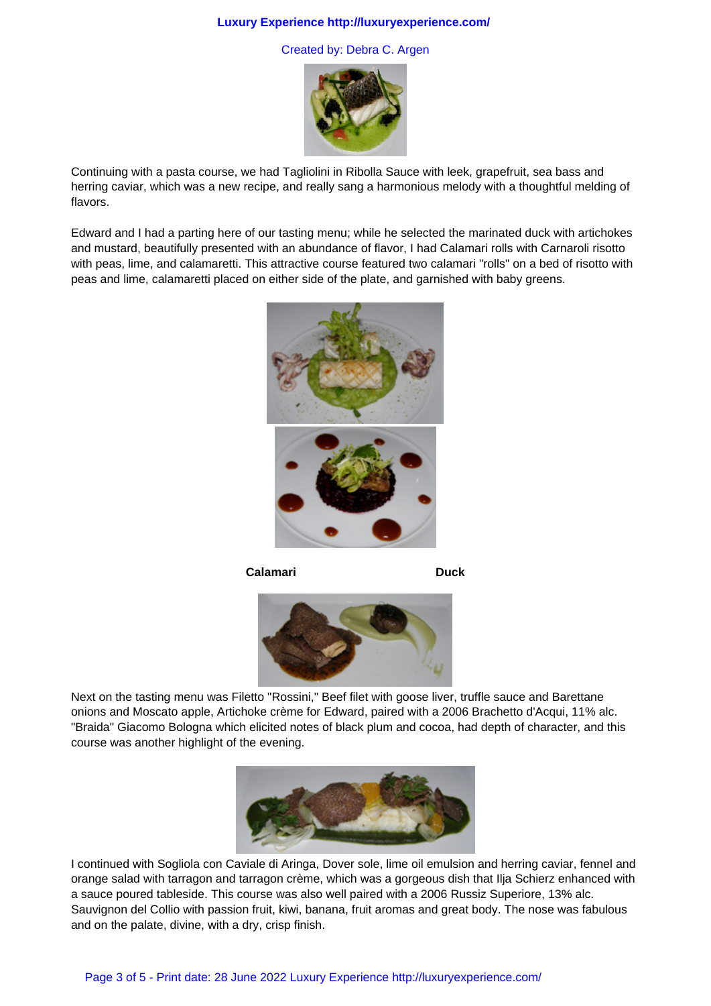## **Luxury Experience http://luxuryexperience.com/**

Created by: Debra C. Argen



Continuing with a pasta course, we had Tagliolini in Ribolla Sauce with leek, grapefruit, sea bass and herring caviar, which was a new recipe, and really sang a harmonious melody with a thoughtful melding of flavors.

Edward and I had a parting here of our tasting menu; while he selected the marinated duck with artichokes and mustard, beautifully presented with an abundance of flavor, I had Calamari rolls with Carnaroli risotto with peas, lime, and calamaretti. This attractive course featured two calamari "rolls" on a bed of risotto with peas and lime, calamaretti placed on either side of the plate, and garnished with baby greens.



**Calamari Duck**



Next on the tasting menu was Filetto "Rossini," Beef filet with goose liver, truffle sauce and Barettane onions and Moscato apple, Artichoke crème for Edward, paired with a 2006 Brachetto d'Acqui, 11% alc. "Braida" Giacomo Bologna which elicited notes of black plum and cocoa, had depth of character, and this course was another highlight of the evening.



I continued with Sogliola con Caviale di Aringa, Dover sole, lime oil emulsion and herring caviar, fennel and orange salad with tarragon and tarragon crème, which was a gorgeous dish that Ilja Schierz enhanced with a sauce poured tableside. This course was also well paired with a 2006 Russiz Superiore, 13% alc. Sauvignon del Collio with passion fruit, kiwi, banana, fruit aromas and great body. The nose was fabulous and on the palate, divine, with a dry, crisp finish.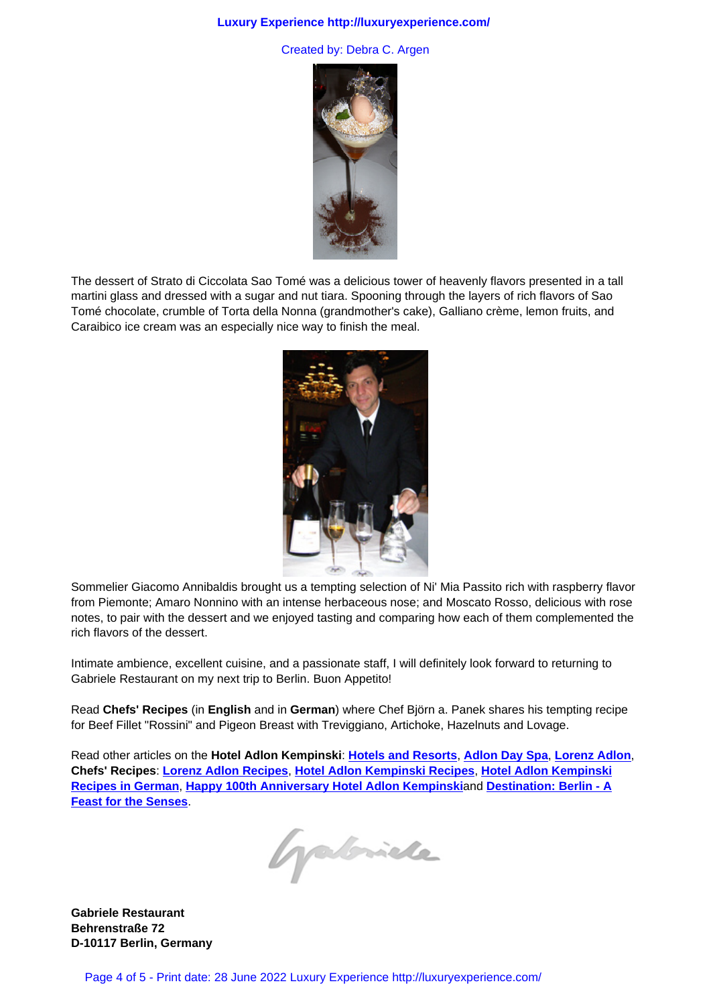

The dessert of Strato di Ciccolata Sao Tomé was a delicious tower of heavenly flavors presented in a tall martini glass and dressed with a sugar and nut tiara. Spooning through the layers of rich flavors of Sao Tomé chocolate, crumble of Torta della Nonna (grandmother's cake), Galliano crème, lemon fruits, and Caraibico ice cream was an especially nice way to finish the meal.



Sommelier Giacomo Annibaldis brought us a tempting selection of Ni' Mia Passito rich with raspberry flavor from Piemonte; Amaro Nonnino with an intense herbaceous nose; and Moscato Rosso, delicious with rose notes, to pair with the dessert and we enjoyed tasting and comparing how each of them complemented the rich flavors of the dessert.

Intimate ambience, excellent cuisine, and a passionate staff, I will definitely look forward to returning to Gabriele Restaurant on my next trip to Berlin. Buon Appetito!

Read **Chefs' Recipes** (in **English** and in **German**) where Chef Björn a. Panek shares his tempting recipe for Beef Fillet "Rossini" and Pigeon Breast with Treviggiano, Artichoke, Hazelnuts and Lovage.

Read other articles on the **Hotel Adlon Kempinski**: **Hotels and Resorts**, **Adlon Day Spa**, **Lorenz Adlon**, **Chefs' Recipes**: **Lorenz Adlon Recipes**, **Hotel Adlon Kempinski Recipes**, **Hotel Adlon Kempinski Recipes in German**, **Happy 100th Anniversary Hotel Adlon Kempinski**and **Destination: Berlin - A Feast for the Senses**.

patericle

**Gabriele Restaurant Behrenstraße 72 D-10117 Berlin, Germany**

Page 4 of 5 - Print date: 28 June 2022 Luxury Experience http://luxuryexperience.com/